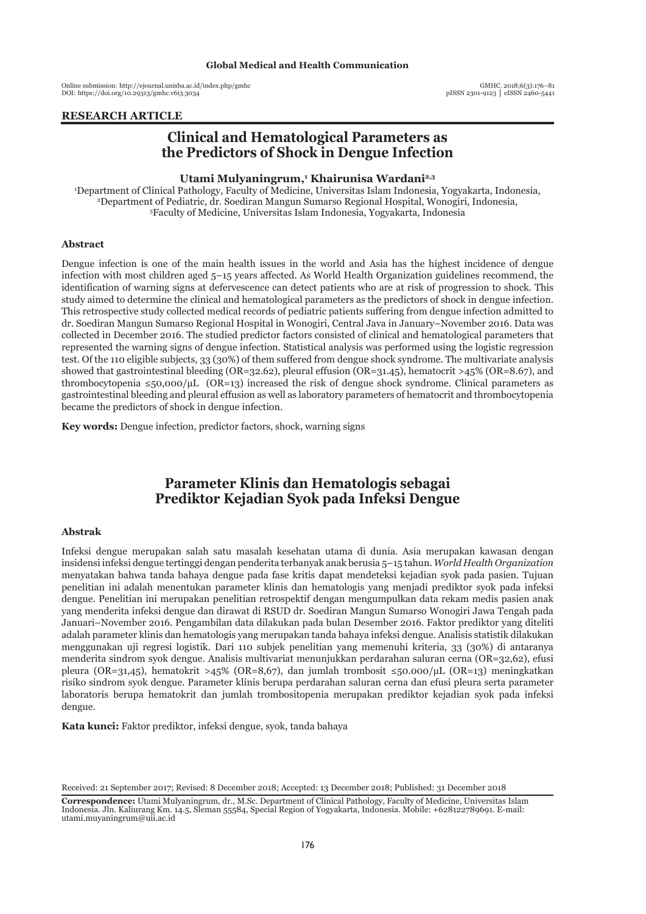Online submission: http://ejournal.unisba.ac.id/index.php/gmhc DOI: pISSN 2301-9123 │ eISSN 2460-5441 https://doi.org/10.29313/gmhc.v6i3.3034

## **RESEARCH ARTICLE**

# **Clinical and Hematological Parameters as the Predictors of Shock in Dengue Infection**

## Utami Mulyaningrum,<sup>1</sup> Khairunisa Wardani<sup>2,3</sup>

1 Department of Clinical Pathology, Faculty of Medicine, Universitas Islam Indonesia, Yogyakarta, Indonesia, 2 Department of Pediatric, dr. Soediran Mangun Sumarso Regional Hospital, Wonogiri, Indonesia, 3 Faculty of Medicine, Universitas Islam Indonesia, Yogyakarta, Indonesia

#### **Abstract**

Dengue infection is one of the main health issues in the world and Asia has the highest incidence of dengue infection with most children aged 5–15 years affected. As World Health Organization guidelines recommend, the identification of warning signs at defervescence can detect patients who are at risk of progression to shock. This study aimed to determine the clinical and hematological parameters as the predictors of shock in dengue infection. This retrospective study collected medical records of pediatric patients suffering from dengue infection admitted to dr. Soediran Mangun Sumarso Regional Hospital in Wonogiri, Central Java in January–November 2016. Data was collected in December 2016. The studied predictor factors consisted of clinical and hematological parameters that represented the warning signs of dengue infection. Statistical analysis was performed using the logistic regression test. Of the 110 eligible subjects, 33 (30%) of them suffered from dengue shock syndrome. The multivariate analysis showed that gastrointestinal bleeding (OR=32.62), pleural effusion (OR=31.45), hematocrit >45% (OR=8.67), and thrombocytopenia  $\leq 50,000/\mu L$  (OR=13) increased the risk of dengue shock syndrome. Clinical parameters as gastrointestinal bleeding and pleural effusion as well as laboratory parameters of hematocrit and thrombocytopenia became the predictors of shock in dengue infection.

**Key words:** Dengue infection, predictor factors, shock, warning signs

# **Parameter Klinis dan Hematologis sebagai Prediktor Kejadian Syok pada Infeksi Dengue**

#### **Abstrak**

Infeksi dengue merupakan salah satu masalah kesehatan utama di dunia. Asia merupakan kawasan dengan insidensi infeksi dengue tertinggi dengan penderita terbanyak anak berusia 5–15 tahun. *World Health Organization*  menyatakan bahwa tanda bahaya dengue pada fase kritis dapat mendeteksi kejadian syok pada pasien. Tujuan penelitian ini adalah menentukan parameter klinis dan hematologis yang menjadi prediktor syok pada infeksi dengue. Penelitian ini merupakan penelitian retrospektif dengan mengumpulkan data rekam medis pasien anak yang menderita infeksi dengue dan dirawat di RSUD dr. Soediran Mangun Sumarso Wonogiri Jawa Tengah pada Januari–November 2016. Pengambilan data dilakukan pada bulan Desember 2016. Faktor prediktor yang diteliti adalah parameter klinis dan hematologis yang merupakan tanda bahaya infeksi dengue. Analisis statistik dilakukan menggunakan uji regresi logistik. Dari 110 subjek penelitian yang memenuhi kriteria, 33 (30%) di antaranya menderita sindrom syok dengue. Analisis multivariat menunjukkan perdarahan saluran cerna (OR=32,62), efusi pleura (OR=31,45), hematokrit >45% (OR=8,67), dan jumlah trombosit ≤50.000/µL (OR=13) meningkatkan risiko sindrom syok dengue. Parameter klinis berupa perdarahan saluran cerna dan efusi pleura serta parameter laboratoris berupa hematokrit dan jumlah trombositopenia merupakan prediktor kejadian syok pada infeksi dengue.

**Kata kunci:** Faktor prediktor, infeksi dengue, syok, tanda bahaya

Received: 21 September 2017; Revised: 8 December 2018; Accepted: 13 December 2018; Published: 31 December 2018

**Correspondence:** Utami Mulyaningrum, dr., M.Sc. Department of Clinical Pathology, Faculty of Medicine, Universitas Islam Indonesia. Jln. Kaliurang Km. 14.5, Sleman 55584, Special Region of Yogyakarta, Indonesia. Mobile: +628122789691. E-mail: utami.muyaningrum@uii.ac.id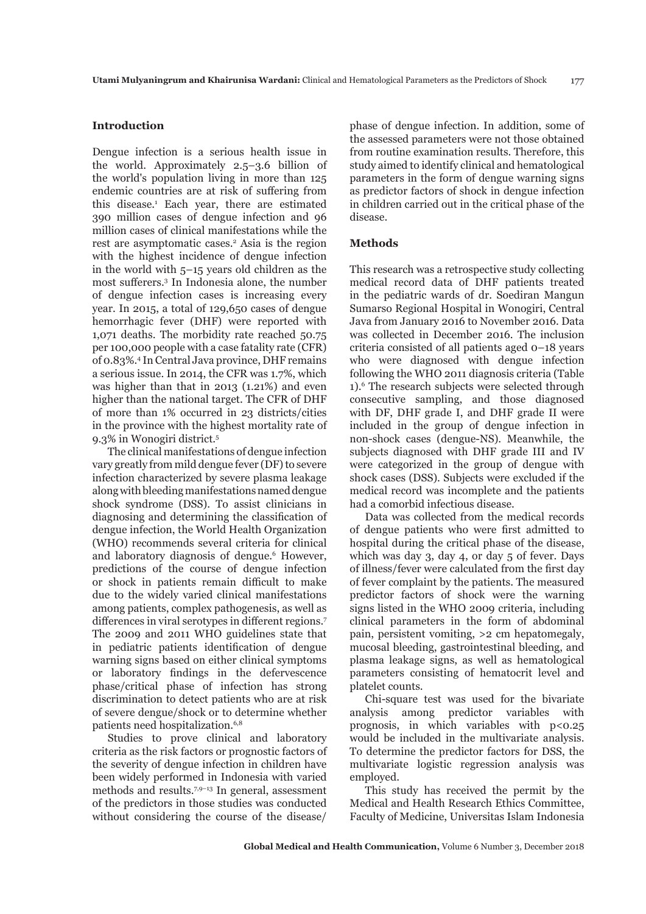## **Introduction**

Dengue infection is a serious health issue in the world. Approximately 2.5–3.6 billion of the world's population living in more than 125 endemic countries are at risk of suffering from this disease.1 Each year, there are estimated 390 million cases of dengue infection and 96 million cases of clinical manifestations while the rest are asymptomatic cases.<sup>2</sup> Asia is the region with the highest incidence of dengue infection in the world with 5–15 years old children as the most sufferers.<sup>3</sup> In Indonesia alone, the number of dengue infection cases is increasing every year. In 2015, a total of 129,650 cases of dengue hemorrhagic fever (DHF) were reported with 1,071 deaths. The morbidity rate reached 50.75 per 100,000 people with a case fatality rate (CFR) of 0.83%.4 In Central Java province, DHF remains a serious issue. In 2014, the CFR was 1.7%, which was higher than that in 2013 (1.21%) and even higher than the national target. The CFR of DHF of more than 1% occurred in 23 districts/cities in the province with the highest mortality rate of 9.3% in Wonogiri district.5

The clinical manifestations of dengue infection vary greatly from mild dengue fever (DF) to severe infection characterized by severe plasma leakage along with bleeding manifestations named dengue shock syndrome (DSS). To assist clinicians in diagnosing and determining the classification of dengue infection, the World Health Organization (WHO) recommends several criteria for clinical and laboratory diagnosis of dengue.<sup>6</sup> However, predictions of the course of dengue infection or shock in patients remain difficult to make due to the widely varied clinical manifestations among patients, complex pathogenesis, as well as differences in viral serotypes in different regions.<sup>7</sup> The 2009 and 2011 WHO guidelines state that in pediatric patients identification of dengue warning signs based on either clinical symptoms or laboratory findings in the defervescence phase/critical phase of infection has strong discrimination to detect patients who are at risk of severe dengue/shock or to determine whether patients need hospitalization.<sup>6,8</sup>

Studies to prove clinical and laboratory criteria as the risk factors or prognostic factors of the severity of dengue infection in children have been widely performed in Indonesia with varied methods and results.7,9–13 In general, assessment of the predictors in those studies was conducted without considering the course of the disease/

phase of dengue infection. In addition, some of the assessed parameters were not those obtained from routine examination results. Therefore, this study aimed to identify clinical and hematological parameters in the form of dengue warning signs as predictor factors of shock in dengue infection in children carried out in the critical phase of the disease.

## **Methods**

This research was a retrospective study collecting medical record data of DHF patients treated in the pediatric wards of dr. Soediran Mangun Sumarso Regional Hospital in Wonogiri, Central Java from January 2016 to November 2016. Data was collected in December 2016. The inclusion criteria consisted of all patients aged 0–18 years who were diagnosed with dengue infection following the WHO 2011 diagnosis criteria (Table 1).6 The research subjects were selected through consecutive sampling, and those diagnosed with DF, DHF grade I, and DHF grade II were included in the group of dengue infection in non-shock cases (dengue-NS). Meanwhile, the subjects diagnosed with DHF grade III and IV were categorized in the group of dengue with shock cases (DSS). Subjects were excluded if the medical record was incomplete and the patients had a comorbid infectious disease.

Data was collected from the medical records of dengue patients who were first admitted to hospital during the critical phase of the disease, which was day 3, day 4, or day 5 of fever. Days of illness/fever were calculated from the first day of fever complaint by the patients. The measured predictor factors of shock were the warning signs listed in the WHO 2009 criteria, including clinical parameters in the form of abdominal pain, persistent vomiting, >2 cm hepatomegaly, mucosal bleeding, gastrointestinal bleeding, and plasma leakage signs, as well as hematological parameters consisting of hematocrit level and platelet counts.

Chi-square test was used for the bivariate analysis among predictor variables with prognosis, in which variables with  $p < 0.25$ would be included in the multivariate analysis. To determine the predictor factors for DSS, the multivariate logistic regression analysis was employed.

This study has received the permit by the Medical and Health Research Ethics Committee, Faculty of Medicine, Universitas Islam Indonesia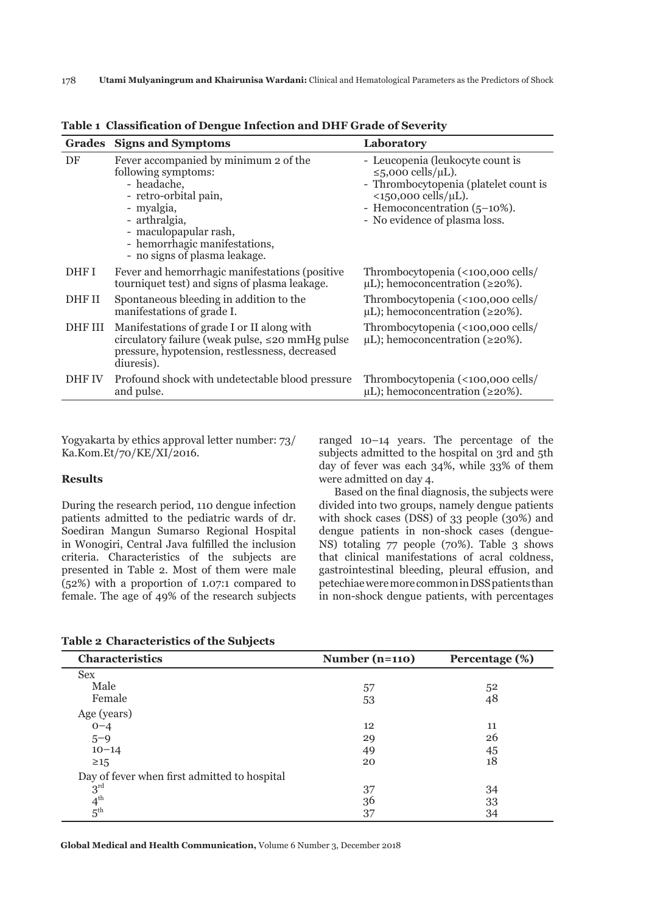| <b>Grades</b> | <b>Signs and Symptoms</b>                                                                                                                                                                                                      | Laboratory                                                                                                                                                                                                                    |
|---------------|--------------------------------------------------------------------------------------------------------------------------------------------------------------------------------------------------------------------------------|-------------------------------------------------------------------------------------------------------------------------------------------------------------------------------------------------------------------------------|
| DF            | Fever accompanied by minimum 2 of the<br>following symptoms:<br>- headache,<br>- retro-orbital pain,<br>- myalgia,<br>- arthralgia,<br>- maculopapular rash,<br>- hemorrhagic manifestations,<br>- no signs of plasma leakage. | - Leucopenia (leukocyte count is<br>≤5,000 cells/ $\mu$ L).<br>- Thrombocytopenia (platelet count is<br>$\langle 150,000 \text{ cells/}\mu\text{L}\rangle$ .<br>- Hemoconcentration (5–10%).<br>- No evidence of plasma loss. |
| DHF I         | Fever and hemorrhagic manifestations (positive<br>tourniquet test) and signs of plasma leakage.                                                                                                                                | Thrombocytopenia (<100,000 cells/<br>$\mu$ L); hemoconcentration ( $\geq$ 20%).                                                                                                                                               |
| DHF II        | Spontaneous bleeding in addition to the<br>manifestations of grade I.                                                                                                                                                          | Thrombocytopenia (<100,000 cells/<br>$\mu$ L); hemoconcentration ( $\geq$ 20%).                                                                                                                                               |
| DHF III       | Manifestations of grade I or II along with<br>circulatory failure (weak pulse, $\leq$ 20 mmHg pulse<br>pressure, hypotension, restlessness, decreased<br>diuresis).                                                            | Thrombocytopenia (<100,000 cells/<br>$\mu$ L); hemoconcentration ( $\geq$ 20%).                                                                                                                                               |
| DHF IV        | Profound shock with undetectable blood pressure<br>and pulse.                                                                                                                                                                  | Thrombocytopenia (<100,000 cells/<br>$\mu$ L); hemoconcentration ( $\geq$ 20%).                                                                                                                                               |

**Table 1 Classification of Dengue Infection and DHF Grade of Severity**

Yogyakarta by ethics approval letter number: 73/ Ka.Kom.Et/70/KE/XI/2016.

# **Results**

During the research period, 110 dengue infection patients admitted to the pediatric wards of dr. Soediran Mangun Sumarso Regional Hospital in Wonogiri, Central Java fulfilled the inclusion criteria. Characteristics of the subjects are presented in Table 2. Most of them were male (52%) with a proportion of 1.07:1 compared to female. The age of 49% of the research subjects

ranged 10–14 years. The percentage of the subjects admitted to the hospital on 3rd and 5th day of fever was each 34%, while 33% of them were admitted on day 4.

Based on the final diagnosis, the subjects were divided into two groups, namely dengue patients with shock cases (DSS) of 33 people (30%) and dengue patients in non-shock cases (dengue-NS) totaling 77 people (70%). Table 3 shows that clinical manifestations of acral coldness, gastrointestinal bleeding, pleural effusion, and petechiae were more common in DSS patients than in non-shock dengue patients, with percentages

|  | <b>Table 2 Characteristics of the Subjects</b> |  |  |
|--|------------------------------------------------|--|--|
|--|------------------------------------------------|--|--|

| Characteristics                              | Number $(n=110)$ | Percentage (%) |
|----------------------------------------------|------------------|----------------|
| <b>Sex</b>                                   |                  |                |
| Male                                         | 57               | 52             |
| Female                                       | 53               | 48             |
| Age (years)                                  |                  |                |
| $0 - 4$                                      | 12               | 11             |
| $5 - 9$                                      | 29               | 26             |
| $10 - 14$                                    | 49               | 45             |
| $\geq 15$                                    | 20               | 18             |
| Day of fever when first admitted to hospital |                  |                |
| $3^{\text{rd}}$                              | 37               | 34             |
| $4^{\text{th}}$                              | 36               | 33             |
| $5^{\text{th}}$                              | 37               | 34             |

**Global Medical and Health Communication,** Volume 6 Number 3, December 2018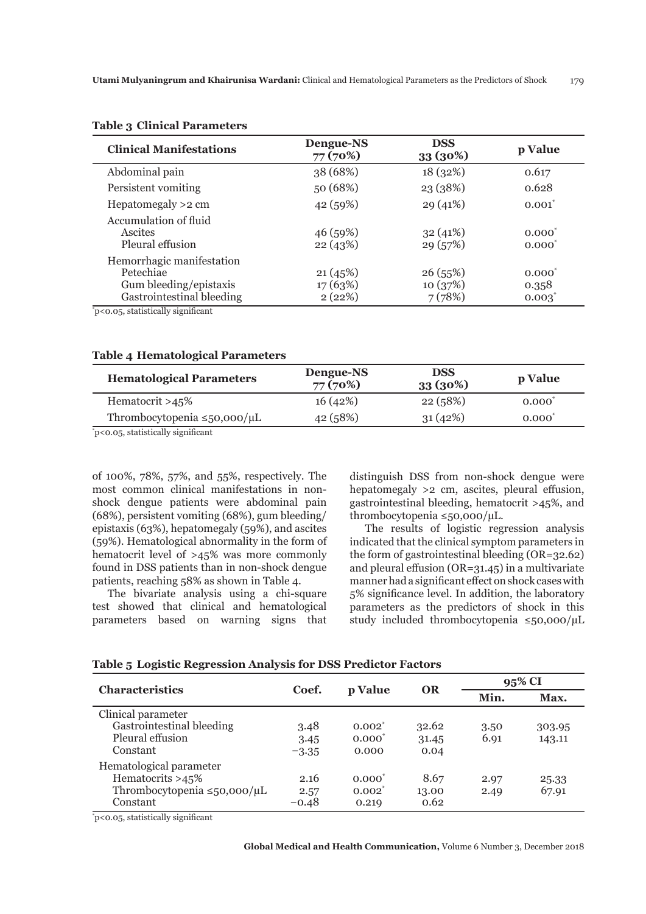| <b>Dengue-NS</b><br>77 (70%) | <b>DSS</b><br>33 (30%)       | p Value                           |
|------------------------------|------------------------------|-----------------------------------|
| 38 (68%)                     | 18(32%)                      | 0.617                             |
| 50 (68%)                     | 23 (38%)                     | 0.628                             |
| 42 (59%)                     | 29(41%)                      | $0.001^*$                         |
| 46 (59%)<br>22(43%)          | 32(41%)<br>29(57%)           | $0.000^*$<br>$0.000^*$            |
| 21(45%)<br>17(63%)<br>2(22%) | 26(55%)<br>10(37%)<br>7(78%) | $0.000^{*}$<br>0.358<br>$0.003^*$ |
|                              |                              |                                   |

#### **Table 3 Clinical Parameters**

\* p<0.05, statistically significant

# **Table 4 Hematological Parameters**

| <b>Hematological Parameters</b>      | Dengue-NS<br>77 (70%) | <b>DSS</b><br>33 (30%) | p Value   |  |
|--------------------------------------|-----------------------|------------------------|-----------|--|
| Hematocrit $>45\%$                   | 16(42%)               | 22(58%)                | $0.000^*$ |  |
| Thrombocytopenia $\leq 50,000/\mu L$ | 42 (58%)              | 31(42%)                | $0.000^*$ |  |
| .                                    |                       |                        |           |  |

\* p<0.05, statistically significant

of 100%, 78%, 57%, and 55%, respectively. The most common clinical manifestations in nonshock dengue patients were abdominal pain (68%), persistent vomiting (68%), gum bleeding/ epistaxis (63%), hepatomegaly (59%), and ascites (59%). Hematological abnormality in the form of hematocrit level of >45% was more commonly found in DSS patients than in non-shock dengue patients, reaching 58% as shown in Table 4.

The bivariate analysis using a chi-square test showed that clinical and hematological parameters based on warning signs that distinguish DSS from non-shock dengue were hepatomegaly >2 cm, ascites, pleural effusion, gastrointestinal bleeding, hematocrit >45%, and thrombocytopenia ≤50,000/µL.

The results of logistic regression analysis indicated that the clinical symptom parameters in the form of gastrointestinal bleeding (OR=32.62) and pleural effusion (OR=31.45) in a multivariate manner had a significant effect on shock cases with 5% significance level. In addition, the laboratory parameters as the predictors of shock in this study included thrombocytopenia ≤50,000/µL

| <b>Characteristics</b>                                                                          | Coef.                   | p Value                                       | <b>OR</b>              | 95% CI       |                  |
|-------------------------------------------------------------------------------------------------|-------------------------|-----------------------------------------------|------------------------|--------------|------------------|
|                                                                                                 |                         |                                               |                        | Min.         | Max.             |
| Clinical parameter<br>Gastrointestinal bleeding<br>Pleural effusion<br>Constant                 | 3.48<br>3.45<br>$-3.35$ | $0.002^{\degree}$<br>$0.000^{\circ}$<br>0.000 | 32.62<br>31.45<br>0.04 | 3.50<br>6.91 | 303.95<br>143.11 |
| Hematological parameter<br>Hematocrits >45%<br>Thrombocytopenia $\leq 50,000/\mu L$<br>Constant | 2.16<br>2.57<br>$-0.48$ | $0.000^{\circ}$<br>$0.002^*$<br>0.219         | 8.67<br>13.00<br>0.62  | 2.97<br>2.49 | 25.33<br>67.91   |

## **Table 5 Logistic Regression Analysis for DSS Predictor Factors**

\* p<0.05, statistically significant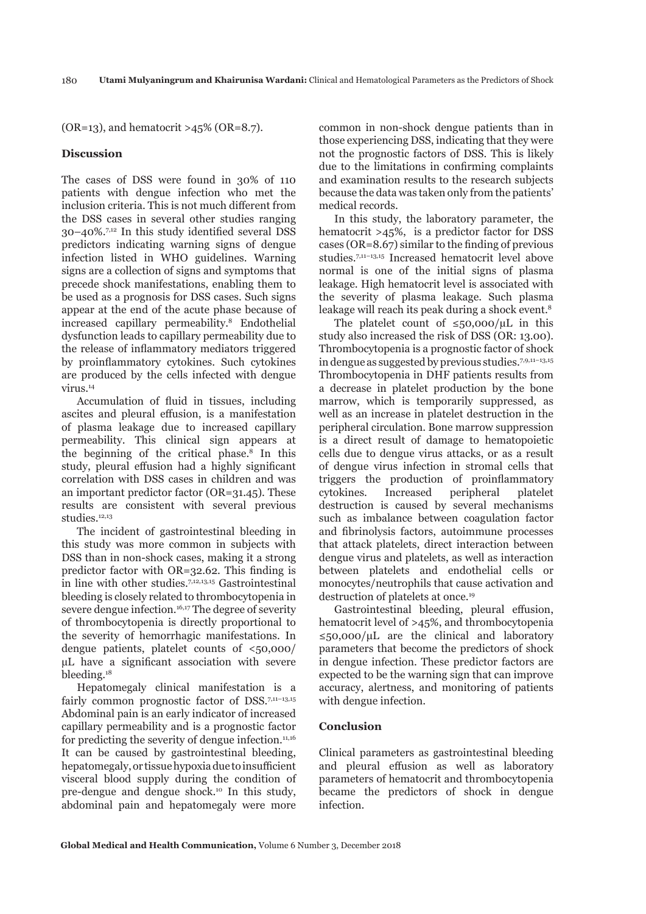$(OR=13)$ , and hematocrit >45%  $(OR=8.7)$ .

# **Discussion**

The cases of DSS were found in 30% of 110 patients with dengue infection who met the inclusion criteria. This is not much different from the DSS cases in several other studies ranging 30–40%.7,12 In this study identified several DSS predictors indicating warning signs of dengue infection listed in WHO guidelines. Warning signs are a collection of signs and symptoms that precede shock manifestations, enabling them to be used as a prognosis for DSS cases. Such signs appear at the end of the acute phase because of increased capillary permeability.8 Endothelial dysfunction leads to capillary permeability due to the release of inflammatory mediators triggered by proinflammatory cytokines. Such cytokines are produced by the cells infected with dengue virus.14

Accumulation of fluid in tissues, including ascites and pleural effusion, is a manifestation of plasma leakage due to increased capillary permeability. This clinical sign appears at the beginning of the critical phase.8 In this study, pleural effusion had a highly significant correlation with DSS cases in children and was an important predictor factor (OR=31.45). These results are consistent with several previous studies.12,13

The incident of gastrointestinal bleeding in this study was more common in subjects with DSS than in non-shock cases, making it a strong predictor factor with OR=32.62. This finding is in line with other studies.7,12,13,15 Gastrointestinal bleeding is closely related to thrombocytopenia in severe dengue infection.<sup>16,17</sup> The degree of severity of thrombocytopenia is directly proportional to the severity of hemorrhagic manifestations. In dengue patients, platelet counts of <50,000/ µL have a significant association with severe bleeding.<sup>18</sup>

Hepatomegaly clinical manifestation is a fairly common prognostic factor of DSS.<sup>7,11-13,15</sup> Abdominal pain is an early indicator of increased capillary permeability and is a prognostic factor for predicting the severity of dengue infection. $11,16$ It can be caused by gastrointestinal bleeding, hepatomegaly, or tissue hypoxia due to insufficient visceral blood supply during the condition of pre-dengue and dengue shock.10 In this study, abdominal pain and hepatomegaly were more

common in non-shock dengue patients than in those experiencing DSS, indicating that they were not the prognostic factors of DSS. This is likely due to the limitations in confirming complaints and examination results to the research subjects because the data was taken only from the patients' medical records.

In this study, the laboratory parameter, the hematocrit >45%, is a predictor factor for DSS cases (OR=8.67) similar to the finding of previous studies.7,11–13,15 Increased hematocrit level above normal is one of the initial signs of plasma leakage. High hematocrit level is associated with the severity of plasma leakage. Such plasma leakage will reach its peak during a shock event.<sup>8</sup>

The platelet count of  $\leq 50.000/\mu L$  in this study also increased the risk of DSS (OR: 13.00). Thrombocytopenia is a prognostic factor of shock in dengue as suggested by previous studies.7,9,11–13,15 Thrombocytopenia in DHF patients results from a decrease in platelet production by the bone marrow, which is temporarily suppressed, as well as an increase in platelet destruction in the peripheral circulation. Bone marrow suppression is a direct result of damage to hematopoietic cells due to dengue virus attacks, or as a result of dengue virus infection in stromal cells that triggers the production of proinflammatory cytokines. Increased peripheral platelet destruction is caused by several mechanisms such as imbalance between coagulation factor and fibrinolysis factors, autoimmune processes that attack platelets, direct interaction between dengue virus and platelets, as well as interaction between platelets and endothelial cells or monocytes/neutrophils that cause activation and destruction of platelets at once.19

Gastrointestinal bleeding, pleural effusion, hematocrit level of >45%, and thrombocytopenia  $\leq$ 50,000/μL are the clinical and laboratory parameters that become the predictors of shock in dengue infection. These predictor factors are expected to be the warning sign that can improve accuracy, alertness, and monitoring of patients with dengue infection.

#### **Conclusion**

Clinical parameters as gastrointestinal bleeding and pleural effusion as well as laboratory parameters of hematocrit and thrombocytopenia became the predictors of shock in dengue infection.